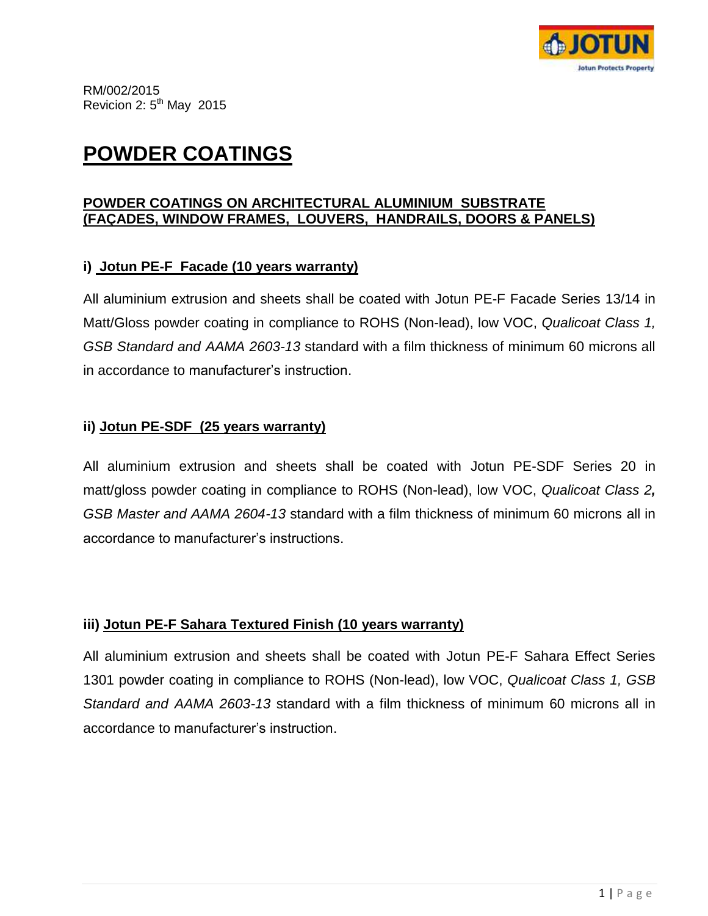

# **POWDER COATINGS**

#### **POWDER COATINGS ON ARCHITECTURAL ALUMINIUM SUBSTRATE (FAÇADES, WINDOW FRAMES, LOUVERS, HANDRAILS, DOORS & PANELS)**

#### **i) Jotun PE-F Facade (10 years warranty)**

All aluminium extrusion and sheets shall be coated with Jotun PE-F Facade Series 13/14 in Matt/Gloss powder coating in compliance to ROHS (Non-lead), low VOC, *Qualicoat Class 1, GSB Standard and AAMA 2603-13* standard with a film thickness of minimum 60 microns all in accordance to manufacturer's instruction.

#### **ii) Jotun PE-SDF (25 years warranty)**

All aluminium extrusion and sheets shall be coated with Jotun PE-SDF Series 20 in matt/gloss powder coating in compliance to ROHS (Non-lead), low VOC, *Qualicoat Class 2, GSB Master and AAMA 2604-13* standard with a film thickness of minimum 60 microns all in accordance to manufacturer's instructions.

## **iii) Jotun PE-F Sahara Textured Finish (10 years warranty)**

All aluminium extrusion and sheets shall be coated with Jotun PE-F Sahara Effect Series 1301 powder coating in compliance to ROHS (Non-lead), low VOC, *Qualicoat Class 1, GSB Standard and AAMA 2603-13* standard with a film thickness of minimum 60 microns all in accordance to manufacturer's instruction.